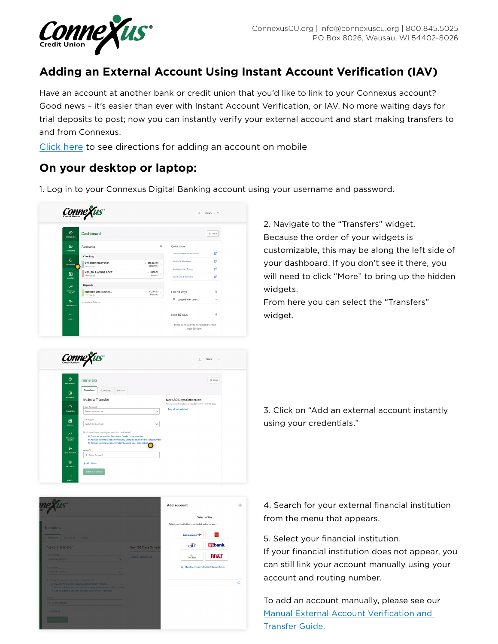

## **Adding an External Account Using Instant Account Verification (IAV)**

Have an account at another bank or credit union that you'd like to link to your Connexus account? Good news – it's easier than ever with Instant Account Verification, or IAV. No more waiting days for trial deposits to post; now you can instantly verify your external account and start making transfers to and from Connexus.

[Click here to see directions for adding an account on mobile](#page-2-0)

## **On your desktop or laptop:**

1. Log in to your Connexus Digital Banking account using your username and password.





2. Navigate to the "Transfers" widget. Because the order of your widgets is customizable, this may be along the left side of your dashboard. If you don't see it there, you will need to click "More" to bring up the hidden widgets.

From here you can select the "Transfers" widget.

3. Click on "Add an external account instantly using your credentials."



4. Search for your external financial institution from the menu that appears.

5. Select your financial institution.

If your financial institution does not appear, you can still link your account manually using your account and routing number.

[To add an account manually, please see our](https://www.connexuscu.org/wp-content/uploads/2020/05/external-transfers-guide.pdf)  Manual External Account Verification and Transfer Guide.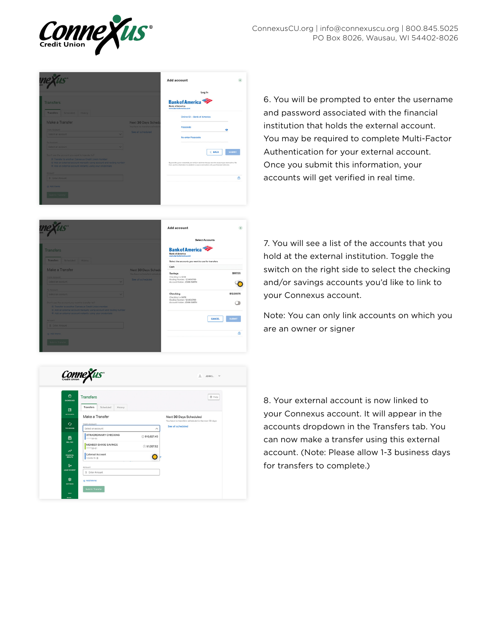

|                                                                                                                                   |                                                      | Add account                                                                                                                                                                                        |               |
|-----------------------------------------------------------------------------------------------------------------------------------|------------------------------------------------------|----------------------------------------------------------------------------------------------------------------------------------------------------------------------------------------------------|---------------|
|                                                                                                                                   |                                                      | Log In                                                                                                                                                                                             |               |
| <b>Transfers</b>                                                                                                                  |                                                      | <b>Bank of America</b><br><b>Bank of America</b><br>www.benkofamerica.com                                                                                                                          |               |
| Transfers Scheduled History                                                                                                       |                                                      | Online ID - Bank of America                                                                                                                                                                        |               |
| Make a Transfer<br>From Account                                                                                                   | Next 30 Days Sched<br>You have no transfers schedul- | Passcode                                                                                                                                                                                           | ۰             |
| Select an account<br>$\overline{\phantom{a}}$                                                                                     | See all scheduled                                    | Re-enter Passcode                                                                                                                                                                                  |               |
| To Account                                                                                                                        |                                                      |                                                                                                                                                                                                    |               |
| Select an account                                                                                                                 |                                                      |                                                                                                                                                                                                    |               |
| Don't see the account you want to transfer to?                                                                                    |                                                      | < BACK                                                                                                                                                                                             | <b>SUBMIT</b> |
| @ Transfer to another Connexus Credit Union member                                                                                |                                                      |                                                                                                                                                                                                    |               |
| @ Add an external account manually using account and routing number<br>® Add an external account instantly using your credentials |                                                      | By providing your credentials, we verify in real time that you own the account you want to link. We<br>then use this information to establish a secure connection with your financial institution. |               |
| Amount                                                                                                                            |                                                      |                                                                                                                                                                                                    |               |
| S Enter Amount                                                                                                                    |                                                      |                                                                                                                                                                                                    | A             |
| (a) Add Mamo                                                                                                                      |                                                      |                                                                                                                                                                                                    |               |
|                                                                                                                                   |                                                      |                                                                                                                                                                                                    |               |
|                                                                                                                                   |                                                      |                                                                                                                                                                                                    |               |
|                                                                                                                                   |                                                      |                                                                                                                                                                                                    |               |

6. You will be prompted to enter the username and password associated with the financial institution that holds the external account. You may be required to complete Multi-Factor Authentication for your external account. Once you submit this information, your accounts will get verified in real time.



7. You will see a list of the accounts that you hold at the external institution. Toggle the switch on the right side to select the checking and/or savings accounts you'd like to link to your Connexus account.

Note: You can only link accounts on which you are an owner or signer

| ◎<br><b>Transfers</b><br>DASHEQARD                                                   | $@$ Help                                                                 |
|--------------------------------------------------------------------------------------|--------------------------------------------------------------------------|
| <b>Transfers</b><br>Scheduled<br>History<br>回                                        |                                                                          |
| <b>ACCOUNTS</b><br>Make a Transfer                                                   | Next 30 Days Scheduled                                                   |
| $\mathcal{L}_{\mathcal{T}}$<br>From Account                                          | You have no transfers scheduled in the next 30 days<br>See all scheduled |
| TRANSFERS<br>Select an account                                                       | $\wedge$                                                                 |
| <b>XTRAORDINARY CHECKING</b><br>囘<br>$-20-02$                                        | ◎ \$10,627.45                                                            |
| <b>BILL PAY</b><br><b>MEMBER SHARE SAVINGS</b><br>20.01                              | ⊙\$1,007.52                                                              |
| $\lambda^{\lambda}$<br><b>External Account</b><br>FINANCIAL<br>HEALTH<br>123456-78 命 |                                                                          |
| Ś÷<br>Amount<br><b>LOAN PAYMENT</b>                                                  |                                                                          |
| \$ Enter Amount                                                                      |                                                                          |
| 愈<br>@ Add Memo                                                                      |                                                                          |

8. Your external account is now linked to your Connexus account. It will appear in the accounts dropdown in the Transfers tab. You can now make a transfer using this external account. (Note: Please allow 1-3 business days for transfers to complete.)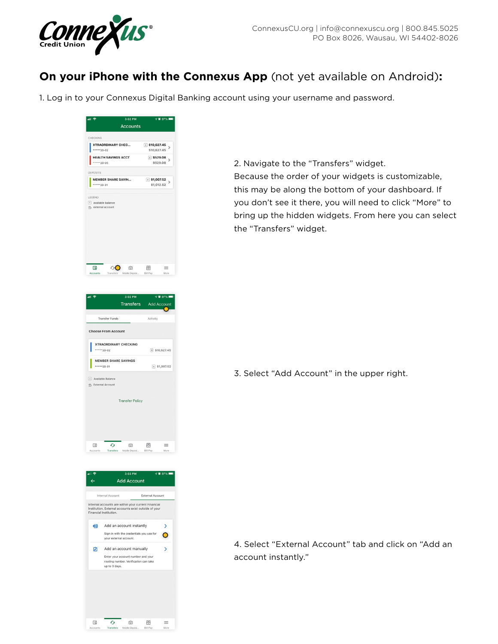<span id="page-2-0"></span>

## **On your iPhone with the Connexus App** (not yet available on Android)**:**

1. Log in to your Connexus Digital Banking account using your username and password.



2. Navigate to the "Transfers" widget. Because the order of your widgets is customizable, this may be along the bottom of your dashboard. If you don't see it there, you will need to click "More" to bring up the hidden widgets. From here you can select the "Transfers" widget.

3. Select "Add Account" in the upper right.

4. Select "External Account" tab and click on "Add an account instantly."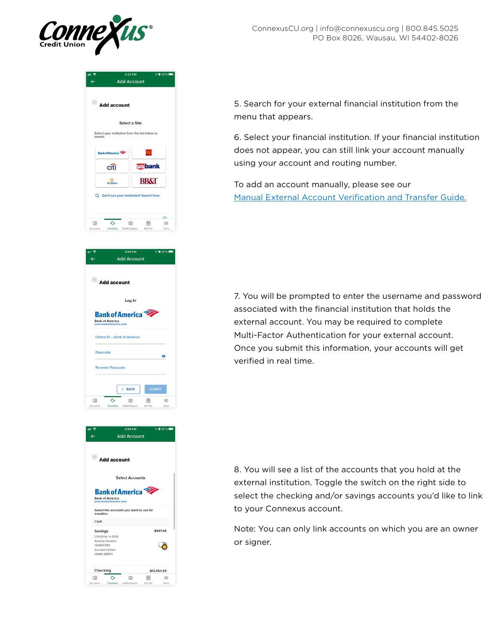

| .⊪ କ<br>$\leftarrow$ | <b>Add Account</b>                                        | 3:03 PM<br><b>√ @ 97%</b>                                |  |
|----------------------|-----------------------------------------------------------|----------------------------------------------------------|--|
|                      | $\bullet$ Add account                                     |                                                          |  |
|                      | Select a Site                                             |                                                          |  |
|                      | Select your institution from the list below or<br>search. |                                                          |  |
|                      | <b>Bank of America</b>                                    |                                                          |  |
|                      | cítì <sup>-</sup>                                         | <b>usbank</b>                                            |  |
|                      | <b>SUNTRUST</b>                                           | <b>BB&amp;T</b>                                          |  |
|                      | Q Don't see your institution? Search here.                |                                                          |  |
|                      |                                                           |                                                          |  |
| 厄<br>American        | G<br>Transferred Middle Property                          | д<br>ा<br>凨<br>$\equiv$<br><b>BUILDING</b><br>A.A.v.v.v. |  |

**Add Account** 

5. Search for your external financial institution from the menu that appears.

6. Select your financial institution. If your financial institution does not appear, you can still link your account manually using your account and routing number.

To add an account manually, please see our [Manual External Account Verification and Transfer Guide.](https://www.connexuscu.org/wp-content/uploads/2020/05/external-transfers-guide.pdf)

 $\bullet$  Add account Log In **Bank of America Bank of America**<br>www.hankofamerica.com Online ID - Bank of America Passcode Re-enter Passcode  $\langle$  BACK  $\mathcal{L}_{\mathcal{F}}$  $\circ$ 同  $\equiv$ 



 $\Box$ 

7. You will be prompted to enter the username and password associated with the financial institution that holds the external account. You may be required to complete Multi-Factor Authentication for your external account. Once you submit this information, your accounts will get verified in real time.

8. You will see a list of the accounts that you hold at the external institution. Toggle the switch on the right side to select the checking and/or savings accounts you'd like to link to your Connexus account.

Note: You can only link accounts on which you are an owner or signer.